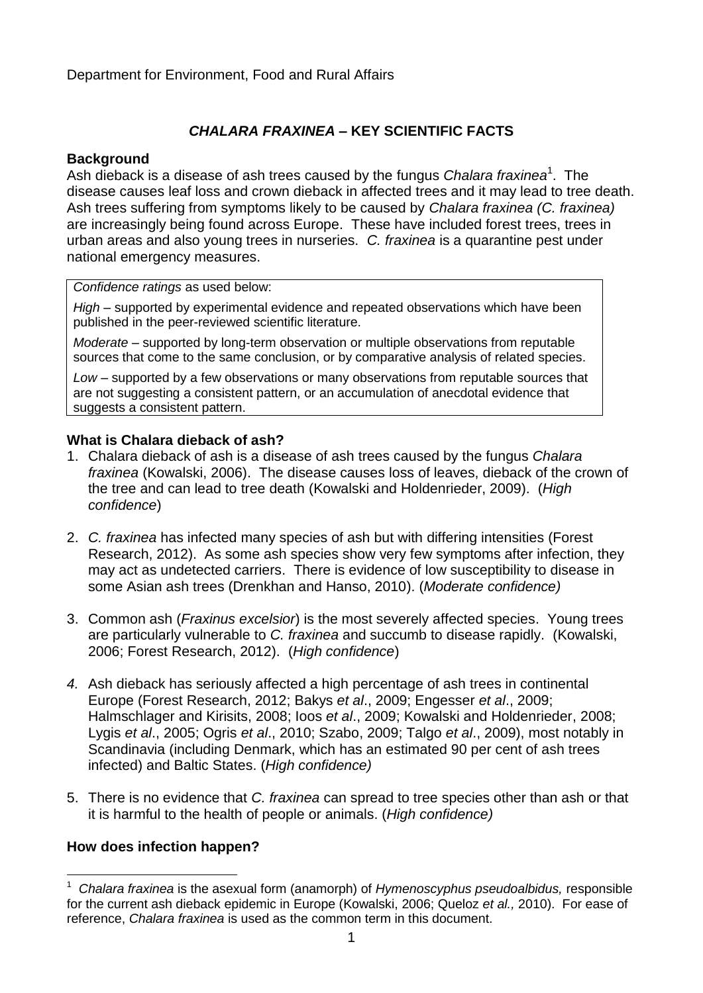# *CHALARA FRAXINEA* **– KEY SCIENTIFIC FACTS**

#### **Background**

Ash dieback is a disease of ash trees caused by the fungus *Chalara fraxinea*<sup>1</sup>. The disease causes leaf loss and crown dieback in affected trees and it may lead to tree death. Ash trees suffering from symptoms likely to be caused by *Chalara fraxinea (C. fraxinea)*  are increasingly being found across Europe. These have included forest trees, trees in urban areas and also young trees in nurseries. *C. fraxinea* is a quarantine pest under national emergency measures.

*Confidence ratings* as used below:

*High* – supported by experimental evidence and repeated observations which have been published in the peer-reviewed scientific literature.

*Moderate* – supported by long-term observation or multiple observations from reputable sources that come to the same conclusion, or by comparative analysis of related species.

*Low* – supported by a few observations or many observations from reputable sources that are not suggesting a consistent pattern, or an accumulation of anecdotal evidence that suggests a consistent pattern.

#### **What is Chalara dieback of ash?**

- 1. Chalara dieback of ash is a disease of ash trees caused by the fungus *Chalara fraxinea* (Kowalski, 2006). The disease causes loss of leaves, dieback of the crown of the tree and can lead to tree death (Kowalski and Holdenrieder, 2009). (*High confidence*)
- 2. *C. fraxinea* has infected many species of ash but with differing intensities (Forest Research, 2012). As some ash species show very few symptoms after infection, they may act as undetected carriers. There is evidence of low susceptibility to disease in some Asian ash trees (Drenkhan and Hanso, 2010). (*Moderate confidence)*
- 3. Common ash (*Fraxinus excelsior*) is the most severely affected species. Young trees are particularly vulnerable to *C. fraxinea* and succumb to disease rapidly. (Kowalski, 2006; Forest Research, 2012). (*High confidence*)
- *4.* Ash dieback has seriously affected a high percentage of ash trees in continental Europe (Forest Research, 2012; Bakys *et al*., 2009; Engesser *et al*., 2009; Halmschlager and Kirisits, 2008; Ioos *et al*., 2009; Kowalski and Holdenrieder, 2008; Lygis *et al*., 2005; Ogris *et al*., 2010; Szabo, 2009; Talgo *et al*., 2009), most notably in Scandinavia (including Denmark, which has an estimated 90 per cent of ash trees infected) and Baltic States. (*High confidence)*
- 5. There is no evidence that *C. fraxinea* can spread to tree species other than ash or that it is harmful to the health of people or animals. (*High confidence)*

# **How does infection happen?**

<sup>1</sup> <sup>1</sup> *Chalara fraxinea* is the asexual form (anamorph) of *Hymenoscyphus pseudoalbidus,* responsible for the current ash dieback epidemic in Europe (Kowalski, 2006; Queloz *et al.,* 2010). For ease of reference, *Chalara fraxinea* is used as the common term in this document.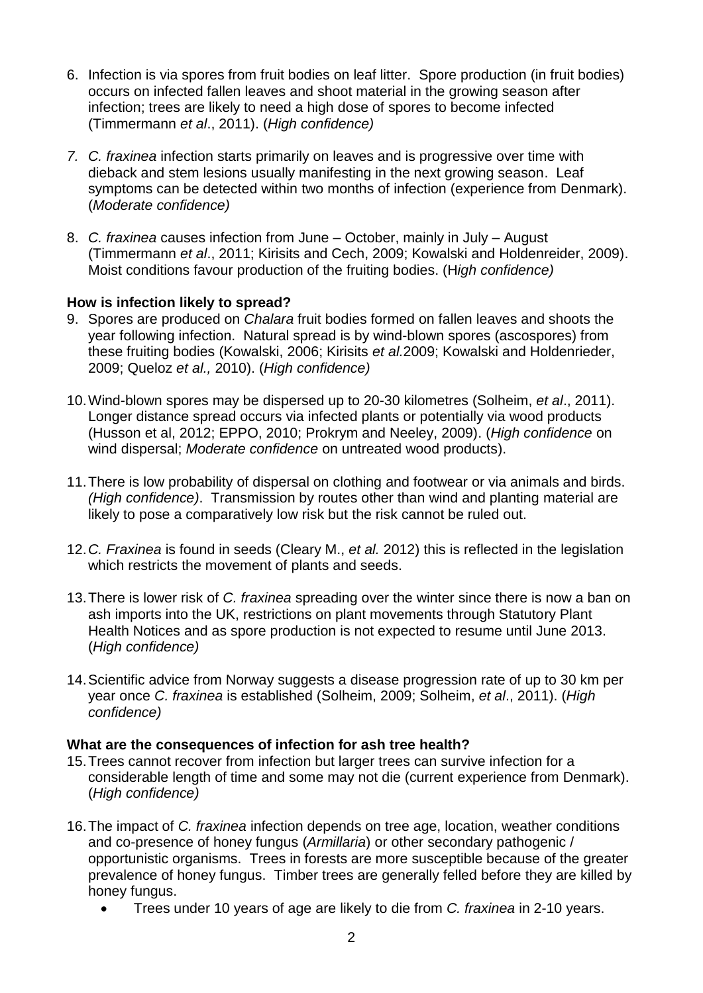- 6. Infection is via spores from fruit bodies on leaf litter. Spore production (in fruit bodies) occurs on infected fallen leaves and shoot material in the growing season after infection; trees are likely to need a high dose of spores to become infected (Timmermann *et al*., 2011). (*High confidence)*
- *7. C. fraxinea* infection starts primarily on leaves and is progressive over time with dieback and stem lesions usually manifesting in the next growing season. Leaf symptoms can be detected within two months of infection (experience from Denmark). (*Moderate confidence)*
- 8. *C. fraxinea* causes infection from June October, mainly in July August (Timmermann *et al*., 2011; Kirisits and Cech, 2009; Kowalski and Holdenreider, 2009). Moist conditions favour production of the fruiting bodies. (H*igh confidence)*

# **How is infection likely to spread?**

- 9. Spores are produced on *Chalara* fruit bodies formed on fallen leaves and shoots the year following infection. Natural spread is by wind-blown spores (ascospores) from these fruiting bodies (Kowalski, 2006; Kirisits *et al.*2009; Kowalski and Holdenrieder, 2009; Queloz *et al.,* 2010). (*High confidence)*
- 10.Wind-blown spores may be dispersed up to 20-30 kilometres (Solheim, *et al*., 2011). Longer distance spread occurs via infected plants or potentially via wood products (Husson et al, 2012; EPPO, 2010; Prokrym and Neeley, 2009). (*High confidence* on wind dispersal; *Moderate confidence* on untreated wood products).
- 11.There is low probability of dispersal on clothing and footwear or via animals and birds. *(High confidence)*. Transmission by routes other than wind and planting material are likely to pose a comparatively low risk but the risk cannot be ruled out.
- 12.*C. Fraxinea* is found in seeds (Cleary M., *et al.* 2012) this is reflected in the legislation which restricts the movement of plants and seeds.
- 13.There is lower risk of *C. fraxinea* spreading over the winter since there is now a ban on ash imports into the UK, restrictions on plant movements through Statutory Plant Health Notices and as spore production is not expected to resume until June 2013. (*High confidence)*
- 14.Scientific advice from Norway suggests a disease progression rate of up to 30 km per year once *C. fraxinea* is established (Solheim, 2009; Solheim, *et al*., 2011). (*High confidence)*

#### **What are the consequences of infection for ash tree health?**

- 15.Trees cannot recover from infection but larger trees can survive infection for a considerable length of time and some may not die (current experience from Denmark). (*High confidence)*
- 16.The impact of *C. fraxinea* infection depends on tree age, location, weather conditions and co-presence of honey fungus (*Armillaria*) or other secondary pathogenic / opportunistic organisms. Trees in forests are more susceptible because of the greater prevalence of honey fungus. Timber trees are generally felled before they are killed by honey fungus.
	- Trees under 10 years of age are likely to die from *C. fraxinea* in 2-10 years.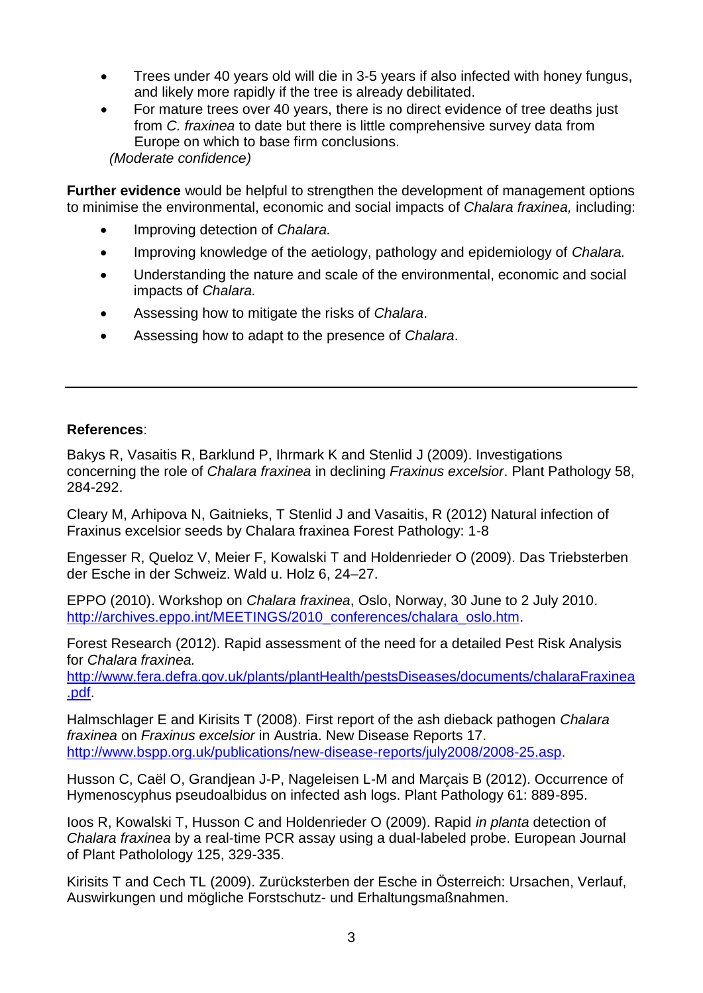- Trees under 40 years old will die in 3-5 years if also infected with honey fungus, and likely more rapidly if the tree is already debilitated.
- For mature trees over 40 years, there is no direct evidence of tree deaths just from *C. fraxinea* to date but there is little comprehensive survey data from Europe on which to base firm conclusions. *(Moderate confidence)*

**Further evidence** would be helpful to strengthen the development of management options to minimise the environmental, economic and social impacts of *Chalara fraxinea,* including:

- Improving detection of *Chalara.*
- Improving knowledge of the aetiology, pathology and epidemiology of *Chalara.*
- Understanding the nature and scale of the environmental, economic and social impacts of *Chalara.*
- Assessing how to mitigate the risks of *Chalara*.
- Assessing how to adapt to the presence of *Chalara*.

# **References**:

Bakys R, Vasaitis R, Barklund P, Ihrmark K and Stenlid J (2009). Investigations concerning the role of *Chalara fraxinea* in declining *Fraxinus excelsior*. Plant Pathology 58, 284-292.

Cleary M, Arhipova N, Gaitnieks, T Stenlid J and Vasaitis, R (2012) Natural infection of Fraxinus excelsior seeds by Chalara fraxinea Forest Pathology: 1-8

Engesser R, Queloz V, Meier F, Kowalski T and Holdenrieder O (2009). Das Triebsterben der Esche in der Schweiz. Wald u. Holz 6, 24–27.

EPPO (2010). Workshop on *Chalara fraxinea*, Oslo, Norway, 30 June to 2 July 2010. [http://archives.eppo.int/MEETINGS/2010\\_conferences/chalara\\_oslo.htm.](http://archives.eppo.int/MEETINGS/2010_conferences/chalara_oslo.htm)

Forest Research (2012). Rapid assessment of the need for a detailed Pest Risk Analysis for *Chalara fraxinea.*

[http://www.fera.defra.gov.uk/plants/plantHealth/pestsDiseases/documents/chalaraFraxinea](http://www.fera.defra.gov.uk/plants/plantHealth/pestsDiseases/documents/chalaraFraxinea.pdf) [.pdf.](http://www.fera.defra.gov.uk/plants/plantHealth/pestsDiseases/documents/chalaraFraxinea.pdf)

Halmschlager E and Kirisits T (2008). First report of the ash dieback pathogen *Chalara fraxinea* on *Fraxinus excelsior* in Austria. New Disease Reports 17. [http://www.bspp.org.uk/publications/new-disease-reports/july2008/2008-25.asp.](http://www.bspp.org.uk/publications/new-disease-reports/july2008/2008-25.asp)

Husson C, Caël O, Grandjean J-P, Nageleisen L-M and Marçais B (2012). Occurrence of Hymenoscyphus pseudoalbidus on infected ash logs. Plant Pathology 61: 889-895.

Ioos R, Kowalski T, Husson C and Holdenrieder O (2009). Rapid *in planta* detection of *Chalara fraxinea* by a real-time PCR assay using a dual-labeled probe. European Journal of Plant Patholology 125, 329-335.

Kirisits T and Cech TL (2009). Zurücksterben der Esche in Österreich: Ursachen, Verlauf, Auswirkungen und mögliche Forstschutz- und Erhaltungsmaßnahmen.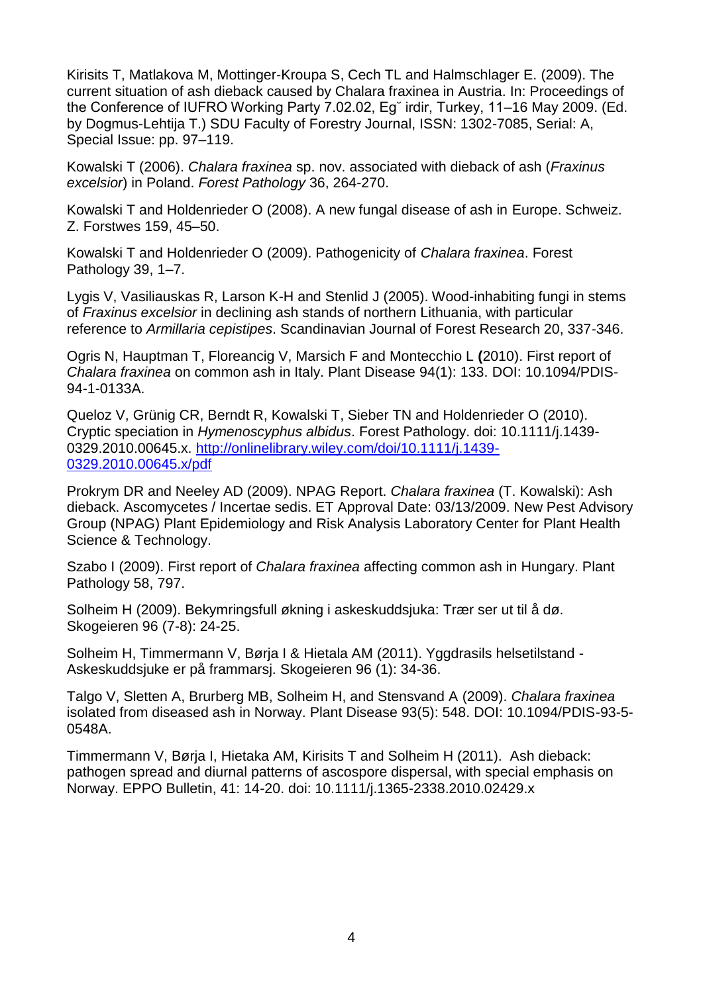Kirisits T, Matlakova M, Mottinger-Kroupa S, Cech TL and Halmschlager E. (2009). The current situation of ash dieback caused by Chalara fraxinea in Austria. In: Proceedings of the Conference of IUFRO Working Party 7.02.02, Eg˘ irdir, Turkey, 11–16 May 2009. (Ed. by Dogmus-Lehtija T.) SDU Faculty of Forestry Journal, ISSN: 1302-7085, Serial: A, Special Issue: pp. 97–119.

Kowalski T (2006). *Chalara fraxinea* sp. nov. associated with dieback of ash (*Fraxinus excelsior*) in Poland. *Forest Pathology* 36, 264-270.

Kowalski T and Holdenrieder O (2008). A new fungal disease of ash in Europe. Schweiz. Z. Forstwes 159, 45–50.

Kowalski T and Holdenrieder O (2009). Pathogenicity of *Chalara fraxinea*. Forest Pathology 39, 1-7.

Lygis V, Vasiliauskas R, Larson K-H and Stenlid J (2005). Wood-inhabiting fungi in stems of *Fraxinus excelsior* in declining ash stands of northern Lithuania, with particular reference to *Armillaria cepistipes*. Scandinavian Journal of Forest Research 20, 337-346.

Ogris N, Hauptman T, Floreancig V, Marsich F and Montecchio L **(**2010). First report of *Chalara fraxinea* on common ash in Italy. Plant Disease 94(1): 133. DOI: 10.1094/PDIS-94-1-0133A.

Queloz V, Grünig CR, Berndt R, Kowalski T, Sieber TN and Holdenrieder O (2010). Cryptic speciation in *Hymenoscyphus albidus*. Forest Pathology. doi: 10.1111/j.1439- 0329.2010.00645.x. [http://onlinelibrary.wiley.com/doi/10.1111/j.1439-](http://onlinelibrary.wiley.com/doi/10.1111/j.1439-0329.2010.00645.x/pdf) [0329.2010.00645.x/pdf](http://onlinelibrary.wiley.com/doi/10.1111/j.1439-0329.2010.00645.x/pdf)

Prokrym DR and Neeley AD (2009). NPAG Report. *Chalara fraxinea* (T. Kowalski): Ash dieback. Ascomycetes / Incertae sedis. ET Approval Date: 03/13/2009. New Pest Advisory Group (NPAG) Plant Epidemiology and Risk Analysis Laboratory Center for Plant Health Science & Technology.

Szabo I (2009). First report of *Chalara fraxinea* affecting common ash in Hungary. Plant Pathology 58, 797.

Solheim H (2009). Bekymringsfull økning i askeskuddsjuka: Trær ser ut til å dø. Skogeieren 96 (7-8): 24-25.

Solheim H, Timmermann V, Børja I & Hietala AM (2011). Yggdrasils helsetilstand - Askeskuddsjuke er på frammarsj. Skogeieren 96 (1): 34-36.

Talgo V, Sletten A, Brurberg MB, Solheim H, and Stensvand A (2009). *Chalara fraxinea* isolated from diseased ash in Norway. Plant Disease 93(5): 548. DOI: 10.1094/PDIS-93-5- 0548A.

Timmermann V, Børja I, Hietaka AM, Kirisits T and Solheim H (2011). Ash dieback: pathogen spread and diurnal patterns of ascospore dispersal, with special emphasis on Norway. EPPO Bulletin, 41: 14-20. doi: 10.1111/j.1365-2338.2010.02429.x